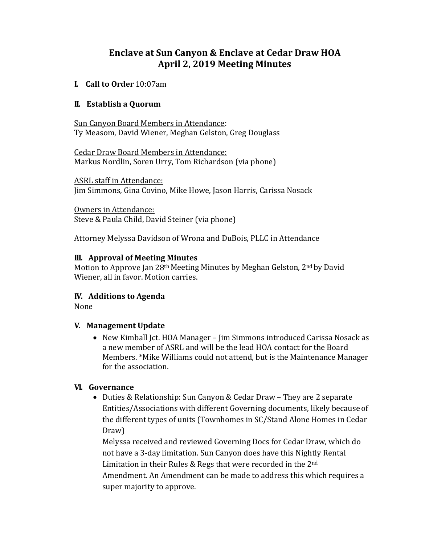# **Enclave at Sun Canyon & Enclave at Cedar Draw HOA April 2, 2019 Meeting Minutes**

#### **I. Call to Order** 10:07am

#### **II. Establish a Quorum**

Sun Canyon Board Members in Attendance: Ty Measom, David Wiener, Meghan Gelston, Greg Douglass

Cedar Draw Board Members in Attendance: Markus Nordlin, Soren Urry, Tom Richardson (via phone)

ASRL staff in Attendance: Jim Simmons, Gina Covino, Mike Howe, Jason Harris, Carissa Nosack

Owners in Attendance: Steve & Paula Child, David Steiner (via phone)

Attorney Melyssa Davidson of Wrona and DuBois, PLLC in Attendance

#### **III. Approval of Meeting Minutes**

Motion to Approve Jan 28th Meeting Minutes by Meghan Gelston, 2nd by David Wiener, all in favor. Motion carries.

#### **IV. Additions to Agenda**

None

#### **V. Management Update**

• New Kimball Jct. HOA Manager – Jim Simmons introduced Carissa Nosack as a new member of ASRL and will be the lead HOA contact for the Board Members. \*Mike Williams could not attend, but is the Maintenance Manager for the association.

#### **VI. Governance**

• Duties & Relationship: Sun Canyon & Cedar Draw – They are 2 separate Entities/Associations with different Governing documents, likely because of the different types of units (Townhomes in SC/Stand Alone Homes in Cedar Draw)

Melyssa received and reviewed Governing Docs for Cedar Draw, which do not have a 3-day limitation. Sun Canyon does have this Nightly Rental Limitation in their Rules & Regs that were recorded in the 2nd Amendment. An Amendment can be made to address this which requires a super majority to approve.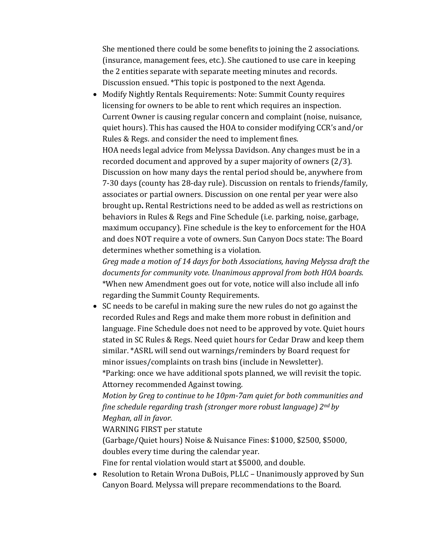She mentioned there could be some benefits to joining the 2 associations. (insurance, management fees, etc.). She cautioned to use care in keeping the 2 entities separate with separate meeting minutes and records. Discussion ensued. \*This topic is postponed to the next Agenda.

• Modify Nightly Rentals Requirements: Note: Summit County requires licensing for owners to be able to rent which requires an inspection. Current Owner is causing regular concern and complaint (noise, nuisance, quiet hours). This has caused the HOA to consider modifying CCR's and/or Rules & Regs. and consider the need to implement fines. HOA needs legal advice from Melyssa Davidson. Any changes must be in a recorded document and approved by a super majority of owners (2/3). Discussion on how many days the rental period should be, anywhere from 7-30 days (county has 28-day rule). Discussion on rentals to friends/family, associates or partial owners. Discussion on one rental per year were also brought up**.** Rental Restrictions need to be added as well as restrictions on behaviors in Rules & Regs and Fine Schedule (i.e. parking, noise, garbage, maximum occupancy). Fine schedule is the key to enforcement for the HOA and does NOT require a vote of owners. Sun Canyon Docs state: The Board determines whether something is a violation.

*Greg made a motion of 14 days for both Associations, having Melyssa draft the documents for community vote. Unanimous approval from both HOA boards.* \*When new Amendment goes out for vote, notice will also include all info regarding the Summit County Requirements.

• SC needs to be careful in making sure the new rules do not go against the recorded Rules and Regs and make them more robust in definition and language. Fine Schedule does not need to be approved by vote. Quiet hours stated in SC Rules & Regs. Need quiet hours for Cedar Draw and keep them similar. \*ASRL will send out warnings/reminders by Board request for minor issues/complaints on trash bins (include in Newsletter). \*Parking: once we have additional spots planned, we will revisit the topic.

Attorney recommended Against towing.

*Motion by Greg to continue to he 10pm-7am quiet for both communities and fine schedule regarding trash (stronger more robust language) 2nd by Meghan, all in favor.*

WARNING FIRST per statute

(Garbage/Quiet hours) Noise & Nuisance Fines: \$1000, \$2500, \$5000, doubles every time during the calendar year.

Fine for rental violation would start at \$5000, and double.

• Resolution to Retain Wrona DuBois, PLLC - Unanimously approved by Sun Canyon Board. Melyssa will prepare recommendations to the Board.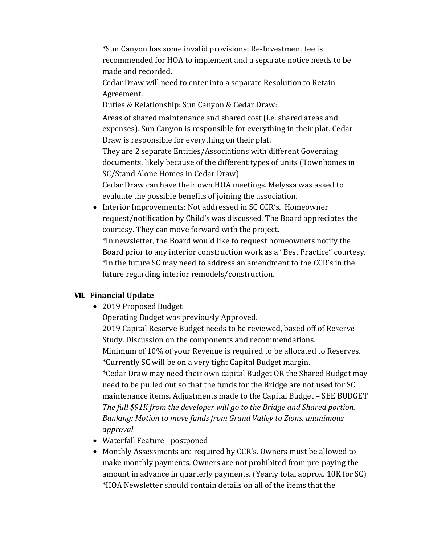\*Sun Canyon has some invalid provisions: Re-Investment fee is recommended for HOA to implement and a separate notice needs to be made and recorded.

Cedar Draw will need to enter into a separate Resolution to Retain Agreement.

Duties & Relationship: Sun Canyon & Cedar Draw:

Areas of shared maintenance and shared cost (i.e. shared areas and expenses). Sun Canyon is responsible for everything in their plat. Cedar Draw is responsible for everything on their plat.

They are 2 separate Entities/Associations with different Governing documents, likely because of the different types of units (Townhomes in SC/Stand Alone Homes in Cedar Draw)

Cedar Draw can have their own HOA meetings. Melyssa was asked to evaluate the possible benefits of joining the association.

• Interior Improvements: Not addressed in SC CCR's. Homeowner request/notification by Child's was discussed. The Board appreciates the courtesy. They can move forward with the project.

\*In newsletter, the Board would like to request homeowners notify the Board prior to any interior construction work as a "Best Practice" courtesy. \*In the future SC may need to address an amendment to the CCR's in the future regarding interior remodels/construction.

#### **VII. Financial Update**

• 2019 Proposed Budget

Operating Budget was previously Approved.

2019 Capital Reserve Budget needs to be reviewed, based off of Reserve Study. Discussion on the components and recommendations. Minimum of 10% of your Revenue is required to be allocated to Reserves.

\*Currently SC will be on a very tight Capital Budget margin. \*Cedar Draw may need their own capital Budget OR the Shared Budget may need to be pulled out so that the funds for the Bridge are not used for SC maintenance items. Adjustments made to the Capital Budget – SEE BUDGET *The full \$91K from the developer will go to the Bridge and Shared portion. Banking: Motion to move funds from Grand Valley to Zions, unanimous approval.*

- Waterfall Feature postponed
- Monthly Assessments are required by CCR's. Owners must be allowed to make monthly payments. Owners are not prohibited from pre-paying the amount in advance in quarterly payments. (Yearly total approx. 10K for SC) \*HOA Newsletter should contain details on all of the items that the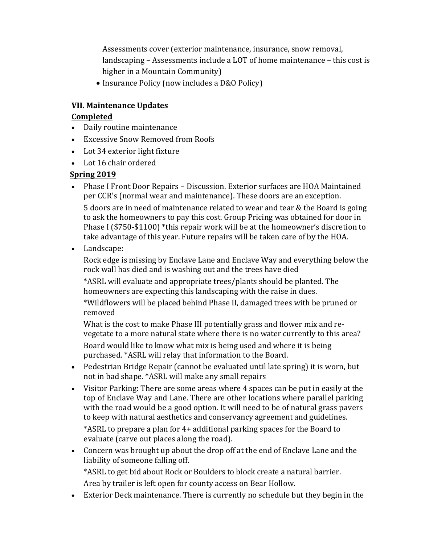Assessments cover (exterior maintenance, insurance, snow removal, landscaping – Assessments include a LOT of home maintenance – this cost is higher in a Mountain Community)

• Insurance Policy (now includes a D&O Policy)

### **VII. Maintenance Updates**

### **Completed**

- Daily routine maintenance
- Excessive Snow Removed from Roofs
- Lot 34 exterior light fixture
- Lot 16 chair ordered

## **Spring 2019**

- Phase I Front Door Repairs Discussion. Exterior surfaces are HOA Maintained per CCR's (normal wear and maintenance). These doors are an exception. 5 doors are in need of maintenance related to wear and tear & the Board is going to ask the homeowners to pay this cost. Group Pricing was obtained for door in Phase I (\$750-\$1100) \*this repair work will be at the homeowner's discretion to take advantage of this year. Future repairs will be taken care of by the HOA.
- Landscape:

Rock edge is missing by Enclave Lane and Enclave Way and everything below the rock wall has died and is washing out and the trees have died

\*ASRL will evaluate and appropriate trees/plants should be planted. The homeowners are expecting this landscaping with the raise in dues.

\*Wildflowers will be placed behind Phase II, damaged trees with be pruned or removed

What is the cost to make Phase III potentially grass and flower mix and revegetate to a more natural state where there is no water currently to this area? Board would like to know what mix is being used and where it is being purchased. \*ASRL will relay that information to the Board.

• Pedestrian Bridge Repair (cannot be evaluated until late spring) it is worn, but not in bad shape. \*ASRL will make any small repairs

• Visitor Parking: There are some areas where 4 spaces can be put in easily at the top of Enclave Way and Lane. There are other locations where parallel parking with the road would be a good option. It will need to be of natural grass pavers to keep with natural aesthetics and conservancy agreement and guidelines.

\*ASRL to prepare a plan for 4+ additional parking spaces for the Board to evaluate (carve out places along the road).

• Concern was brought up about the drop off at the end of Enclave Lane and the liability of someone falling off.

\*ASRL to get bid about Rock or Boulders to block create a natural barrier.

Area by trailer is left open for county access on Bear Hollow.

• Exterior Deck maintenance. There is currently no schedule but they begin in the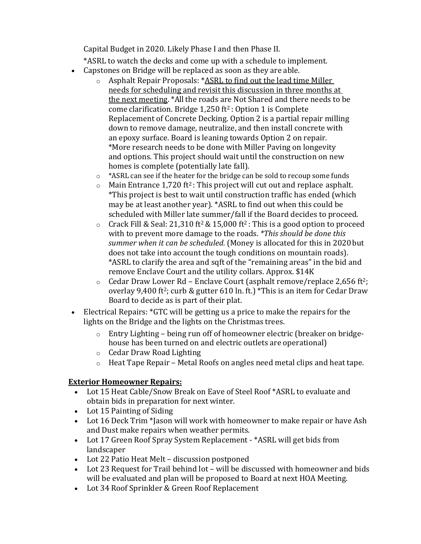Capital Budget in 2020. Likely Phase I and then Phase II.

\*ASRL to watch the decks and come up with a schedule to implement.

- Capstones on Bridge will be replaced as soon as they are able.
	- o Asphalt Repair Proposals: \*ASRL to find out the lead time Miller needs for scheduling and revisit this discussion in three months at the next meeting. \*All the roads are Not Shared and there needs to be come clarification. Bridge  $1,250$  ft<sup>2</sup>: Option 1 is Complete Replacement of Concrete Decking. Option 2 is a partial repair milling down to remove damage, neutralize, and then install concrete with an epoxy surface. Board is leaning towards Option 2 on repair. \*More research needs to be done with Miller Paving on longevity and options. This project should wait until the construction on new homes is complete (potentially late fall).
	- o \*ASRL can see if the heater for the bridge can be sold to recoup some funds
	- $\circ$  Main Entrance 1,720 ft<sup>2</sup>: This project will cut out and replace asphalt. \*This project is best to wait until construction traffic has ended (which may be at least another year). \*ASRL to find out when this could be scheduled with Miller late summer/fall if the Board decides to proceed.
	- $\circ$  Crack Fill & Seal: 21,310 ft<sup>2</sup> & 15,000 ft<sup>2</sup>: This is a good option to proceed with to prevent more damage to the roads. *\*This should be done this summer when it can be scheduled.* (Money is allocated for this in 2020 but does not take into account the tough conditions on mountain roads). \*ASRL to clarify the area and sqft of the "remaining areas" in the bid and remove Enclave Court and the utility collars. Approx. \$14K
	- $\circ$  Cedar Draw Lower Rd Enclave Court (asphalt remove/replace 2,656 ft<sup>2</sup>; overlay 9,400 ft2; curb & gutter 610 ln. ft.) \*This is an item for Cedar Draw Board to decide as is part of their plat.
- Electrical Repairs: \*GTC will be getting us a price to make the repairs for the lights on the Bridge and the lights on the Christmas trees.
	- o Entry Lighting being run off of homeowner electric (breaker on bridgehouse has been turned on and electric outlets are operational)
	- o Cedar Draw Road Lighting
	- o Heat Tape Repair Metal Roofs on angles need metal clips and heat tape.

# **Exterior Homeowner Repairs:**

- Lot 15 Heat Cable/Snow Break on Eave of Steel Roof \*ASRL to evaluate and obtain bids in preparation for next winter.
- Lot 15 Painting of Siding
- Lot 16 Deck Trim \*Jason will work with homeowner to make repair or have Ash and Dust make repairs when weather permits.
- Lot 17 Green Roof Spray System Replacement \*ASRL will get bids from landscaper
- Lot 22 Patio Heat Melt discussion postponed
- Lot 23 Request for Trail behind lot will be discussed with homeowner and bids will be evaluated and plan will be proposed to Board at next HOA Meeting.
- Lot 34 Roof Sprinkler & Green Roof Replacement